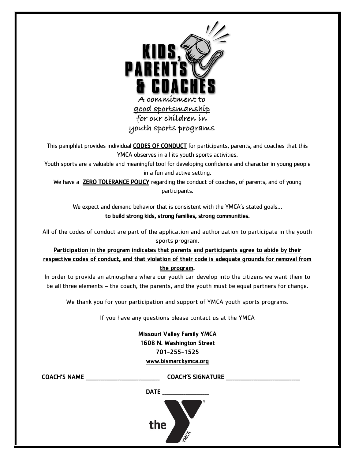

This pamphlet provides individual CODES OF CONDUCT for participants, parents, and coaches that this YMCA observes in all its youth sports activities.

Youth sports are a valuable and meaningful tool for developing confidence and character in young people in a fun and active setting.

We have a **ZERO TOLERANCE POLICY** regarding the conduct of coaches, of parents, and of young participants.

We expect and demand behavior that is consistent with the YMCA's stated goals… to build strong kids, strong families, strong communities.

All of the codes of conduct are part of the application and authorization to participate in the youth sports program.

Participation in the program indicates that parents and participants agree to abide by their respective codes of conduct, and that violation of their code is adequate grounds for removal from the program.

In order to provide an atmosphere where our youth can develop into the citizens we want them to be all three elements – the coach, the parents, and the youth must be equal partners for change.

We thank you for your participation and support of YMCA youth sports programs.

If you have any questions please contact us at the YMCA

Missouri Valley Family YMCA 1608 N. Washington Street 701-255-1525 [www.bismarckymca.org](http://www.bismarckymca.org/)